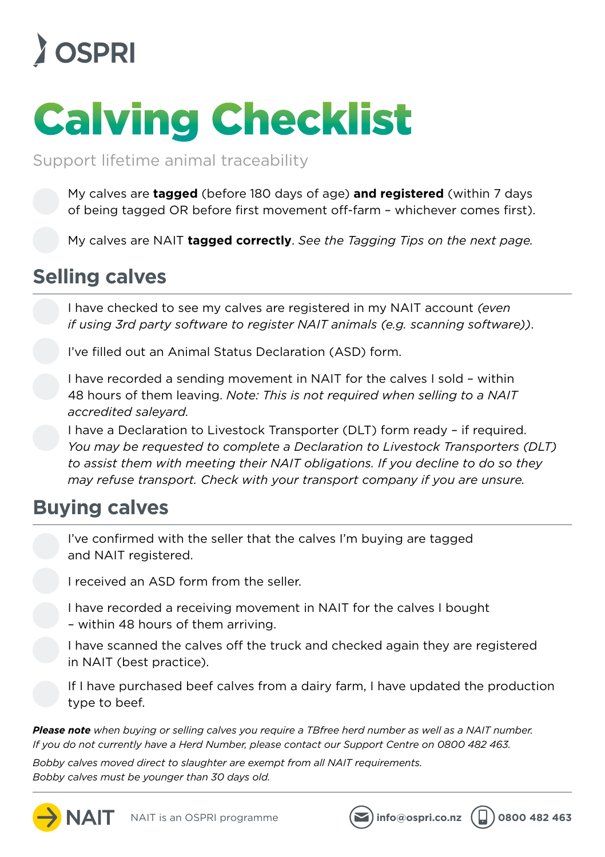### **A** OSPRI

# Calving Checklist

Support lifetime animal traceability

My calves are **tagged** (before 180 days of age) **and registered** (within 7 days of being tagged OR before first movement off-farm – whichever comes first).

My calves are NAIT **tagged correctly**. *See the Tagging Tips on the next page.*

### **Selling calves**

I have checked to see my calves are registered in my NAIT account *(even if using 3rd party software to register NAIT animals (e.g. scanning software))*.

I've filled out an Animal Status Declaration (ASD) form.

I have recorded a sending movement in NAIT for the calves I sold – within 48 hours of them leaving. *Note: This is not required when selling to a NAIT accredited saleyard.*

I have a Declaration to Livestock Transporter (DLT) form ready – if required. *You may be requested to complete a Declaration to Livestock Transporters (DLT) to assist them with meeting their NAIT obligations. If you decline to do so they may refuse transport. Check with your transport company if you are unsure.*

#### **Buying calves**

I've confirmed with the seller that the calves I'm buying are tagged and NAIT registered.

I received an ASD form from the seller.

I have recorded a receiving movement in NAIT for the calves I bought – within 48 hours of them arriving.

I have scanned the calves off the truck and checked again they are registered in NAIT (best practice).

If I have purchased beef calves from a dairy farm, I have updated the production type to beef.

*Please note when buying or selling calves you require a TBfree herd number as well as a NAIT number. If you do not currently have a Herd Number, please contact our Support Centre on 0800 482 463.*

*Bobby calves moved direct to slaughter are exempt from all NAIT requirements. Bobby calves must be younger than 30 days old.*